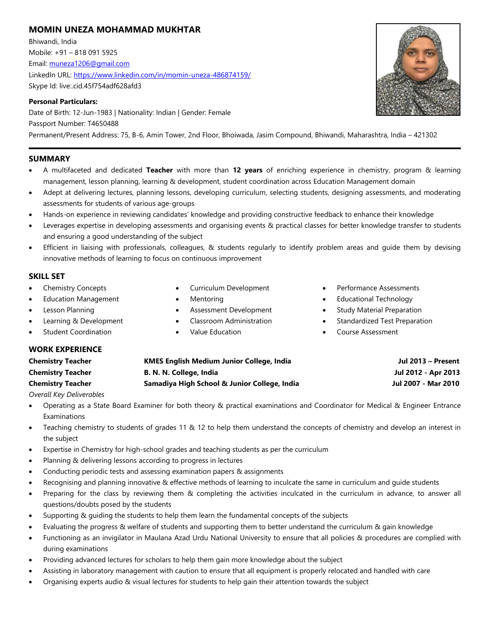# **MOMIN UNEZA MOHAMMAD MUKHTAR**

Bhiwandi, India Mobile: +91 – 818 091 5925 Email[: muneza1206@gmail.com](mailto:muneza1206@gmail.com) LinkedIn URL:<https://www.linkedin.com/in/momin-uneza-486874159/> Skype Id: live:.cid.45f754adf628afd3

### **Personal Particulars:**

Date of Birth: 12-Jun-1983 | Nationality: Indian | Gender: Female Passport Number: T4650488 Permanent/Present Address: 75, B-6, Amin Tower, 2nd Floor, Bhoiwada, Jasim Compound, Bhiwandi, Maharashtra, India – 421302

## **SUMMARY**

- A multifaceted and dedicated **Teacher** with more than **12 years** of enriching experience in chemistry, program & learning management, lesson planning, learning & development, student coordination across Education Management domain
- Adept at delivering lectures, planning lessons, developing curriculum, selecting students, designing assessments, and moderating assessments for students of various age-groups
- Hands-on experience in reviewing candidates' knowledge and providing constructive feedback to enhance their knowledge
- Leverages expertise in developing assessments and organising events & practical classes for better knowledge transfer to students and ensuring a good understanding of the subject
- Efficient in liaising with professionals, colleagues, & students regularly to identify problem areas and guide them by devising innovative methods of learning to focus on continuous improvement

### **SKILL SET**

- Chemistry Concepts
- **Education Management**
- Lesson Planning
- Learning & Development
- **Student Coordination**

**WORK EXPERIENCE**

- Curriculum Development
- Mentoring
- Assessment Development
- Classroom Administration
- Value Education
- Performance Assessments
- Educational Technology
- Study Material Preparation
- Standardized Test Preparation
- Course Assessment

| <b>Chemistry Teacher</b> | <b>KMES English Medium Junior College, India</b> | Jul 2013 - Present  |
|--------------------------|--------------------------------------------------|---------------------|
| <b>Chemistry Teacher</b> | B. N. N. College, India                          | Jul 2012 - Apr 2013 |
| <b>Chemistry Teacher</b> | Samadiya High School & Junior College, India     | Jul 2007 - Mar 2010 |

*Overall Key Deliverables*

- Operating as a State Board Examiner for both theory & practical examinations and Coordinator for Medical & Engineer Entrance Examinations
- Teaching chemistry to students of grades 11 & 12 to help them understand the concepts of chemistry and develop an interest in the subject
- Expertise in Chemistry for high-school grades and teaching students as per the curriculum
- Planning & delivering lessons according to progress in lectures
- Conducting periodic tests and assessing examination papers & assignments
- Recognising and planning innovative & effective methods of learning to inculcate the same in curriculum and guide students
- Preparing for the class by reviewing them & completing the activities inculcated in the curriculum in advance, to answer all questions/doubts posed by the students
- Supporting & guiding the students to help them learn the fundamental concepts of the subjects
- Evaluating the progress & welfare of students and supporting them to better understand the curriculum & gain knowledge
- Functioning as an invigilator in Maulana Azad Urdu National University to ensure that all policies & procedures are complied with during examinations
- Providing advanced lectures for scholars to help them gain more knowledge about the subject
- Assisting in laboratory management with caution to ensure that all equipment is properly relocated and handled with care
- Organising experts audio & visual lectures for students to help gain their attention towards the subject